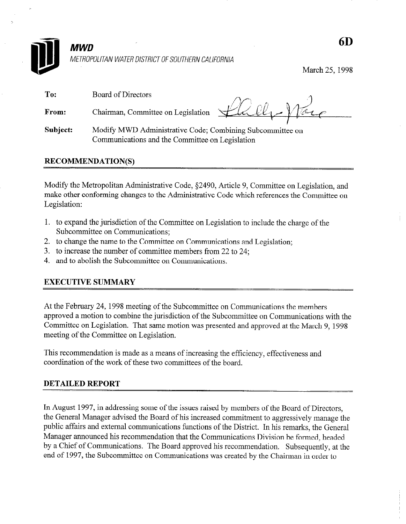

March 25, 1998

To: Board of Directors From: Chairman, Committee on Legislation

Subject: Modify MWD Administrative Code; Combining Subcommittee on Communications and the Committee-on Legislation

# RECOMMENDATION(S)

Modify the Metropolitan Administrative Code, \$2490, Article 9, Committee on Legislation, and make other conforming changes to the Administrative Code which references the Committee on Legislation:

- 1. to expand the jurisdiction of the Committee on Legislation to include the charge of the Subcommittee on Communications;
- 2. to change the name to the Committee on Communications and Legislation;
- 3. to increase the number of committee members from 22 to 24;
- 4. and to abolish the Subcommittee on Communications.

# EXECUTIVE SUMMARY

At the February 24,199s meeting of the Subcommittee on Communications the members approved a motion to combine the jurisdiction of the Subcommittee on Communications with the Committee on Legislation. That same motion was presented and approved at the March 9, 1998 meeting of the Committee on Legislation.

This recommendation is made as a means of increasing the efficiency, effectiveness and coordination of the work of these two committees of the board.

# DETAILED REPORT

In August 1997, in addressing some of the issues raised by members of the Board of Directors, the General Manager advised the Board of his increased commitment to aggressively manage the public affairs and external communications functions of the District. In his remarks, the General Manager announced his recommendation that the Communications Division be formed, headed by a Chief of Communications. The Board approved his recommendation. Subsequently, at the end of 1997, the Subcommittee on Communications was created by the Chairman in order to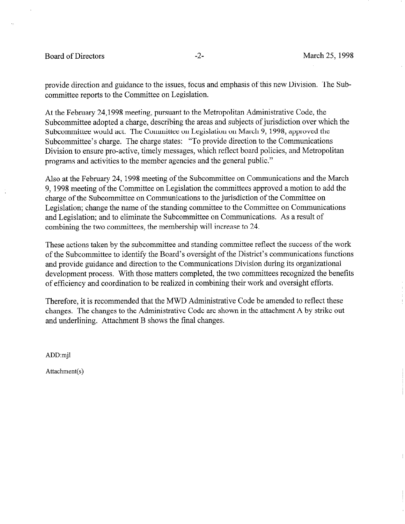# Board of Directors **-2-** All the March 25, 1998

provide direction and guidance to the issues, focus and emphasis of this new Division. The Subcommittee reports to the Committee on Legislation.

At the February 24,1998 meeting, pursuant to the Metropolitan Administrative Code, the Subcommittee adopted a charge, describing the areas and subjects of jurisdiction over which the Subcommittee would act. The Committee on Legislation on March 9, 1998, approved the Subcommittee's charge. The charge states: "To provide direction to the Communications Division to ensure pro-active, timely messages, which reflect board policies, and Metropolitan programs and activities to the member agencies and the general public."

Also at the February 24, 1998 meeting of the Subcommittee on Communications and the March 9, 1998 meeting of the Committee on Legislation the committees approved a motion to add the charge of the Subcommittee on Communications to the jurisdiction of the Committee on Legislation; change the name of the standing committee to the Committee on Communications and Legislation; and to eliminate the Subcommittee on Communications. As a result of combining the two committees, the membership will increase to 24.

These actions taken by the subcommittee and standing committee reflect the success of the work of the Subcommittee to identify the Board's oversight of the District's communications functions and provide guidance and direction to the Communications Division during its organizational development process. With those matters completed, the two committees recognized the benefits of efficiency and coordination to be realized in combining their work and oversight efforts.

Therefore, it is recommended that the MWD Administrative Code be amended to reflect these changes. The changes to the Administrative Code are shown in the attachment A by strike out and underlining. Attachment B shows the final changes.

ADD:mjl

Attachment(s)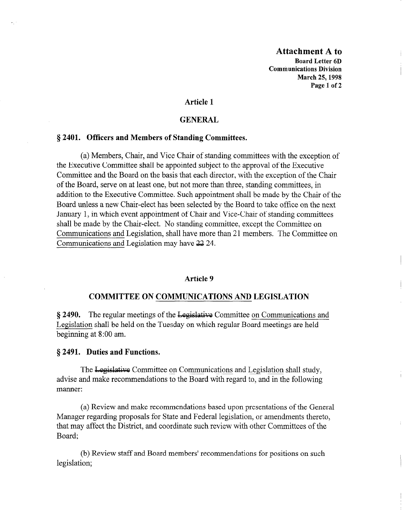Attachment A to Board Letter 6D Communications Division March 25,1998 Page 1 of 2

# Article 1

#### **GENERAL**

# § 2401. Officers and Members of Standing Committees.

(a) Members, Chair, and Vice Chair of standing committees with the exception of the Executive Committee shall be appointed subject to the approval of the Executive Committee and the Board on the basis that each director, with the exception of the Chair of the Board, serve on at least one, but not more than three, standing committees, in addition to the Executive Committee. Such appointment shall be made by the Chair of the Board unless a new Chair-elect has been selected by the Board to take office on the next January 1, in which event appointment of Chair and Vice-Chair of standing committees shall be made by the Chair-elect. No standing committee, except the Committee on Communications and Legislation, shall have more than 21 members. The Committee on Communications and Legislation may have 22 24.

#### Article 9

#### COMMITTEE ON COMMUNICATIONS AND LEGISLATION

 $\frac{1}{2}$   $\frac{1}{2}$   $\frac{1}{2}$   $\frac{1}{2}$   $\frac{1}{2}$   $\frac{1}{2}$   $\frac{1}{2}$   $\frac{1}{2}$   $\frac{1}{2}$   $\frac{1}{2}$   $\frac{1}{2}$   $\frac{1}{2}$   $\frac{1}{2}$   $\frac{1}{2}$   $\frac{1}{2}$   $\frac{1}{2}$   $\frac{1}{2}$   $\frac{1}{2}$   $\frac{1}{2}$   $\frac{1}{2}$   $\frac{1}{2}$   $\frac{1}{2}$  S 2470. The regular meetings or the <del>Legislative</del> commutee on <u>communications</u> Legislation shall be held on the Tuesday on which regular Board meetings are held beginning at 8:00 am.

The Legislative Committee on Communications and Legislation shall study, advise and make recommendations to the Board with regard to, and in the following manner:

(a) Review and make recommendations based upon presentations of the General Manager regarding proposals for State and Federal legislation, or amendments thereto, that may affect the District, and coordinate such review with other Committees of the Board:

(b) Review staff and Board members' recommendations for positions on such legislation;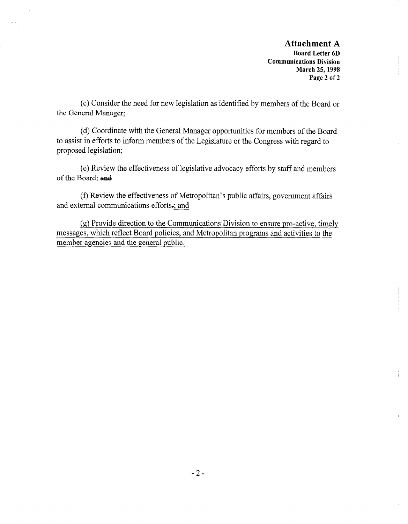# Attachment A

Board Letter 6D Communications Division March 25,199s Page 2 of 2

(c) Consider the need for new legislation as identified by members of the Board or the General Manager;

 $\lambda$ 

(d) Coordinate with the General Manager opportunities for members of the Board to assist in efforts to inform members of the Legislature or the Congress with regard to proposed legislation;

(e) Review the effectiveness of legislative advocacy efforts by staff and members of the Board; and

(f) Review the effectiveness of Metropolitan's public affairs, government affairs and external communications efforts,; and

(g) Provide direction to the Communications Division to ensure pro-active, timely messages, which reflect Board policies, and Metropolitan programs and activities to the member agencies and the general public.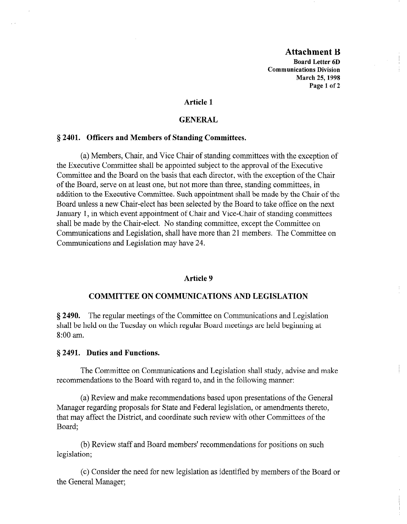# Attachment B

Board Letter 6D Communications Division March 25,1998 Page 1 of 2

# Article 1

# GENERAL

# 6 2401. Officers and Members of Standing Committees.

(a) Members, Chair, and Vice Chair of standing committees with the exception of the Executive Committee shall be appointed subject to the approval of the Executive Committee and the Board on the basis that each director, with the exception of the Chair of the Board, serve on at least one, but not more than three, standing committees, in addition to the Executive Committee. Such appointment shall be made by the Chair of the Board unless a new Chair-elect has been selected by the Board to take office on the next January 1, in which event appointment of Chair and Vice-Chair of standing committees shall be made by the Chair-elect. No standing committee, except the Committee on Communications and Legislation, shall have more than 21 members. The Committee on Communications and Legislation may have 24.

#### Article 9

### COMMITTEE ON COMMUNICATIONS AND LEGISLATION

5 2490. The regular meetings of the Committee on Communications and Legislation s **above** the regular meetings of the commuted on communications and Legislatic shall be held on the Tuesday on which regular Board meetings are held beginning at 8:00 am.

# ij 2491. Duties and Functions.

The Committee on Communications and Legislation shall study, advise and make recommendations to the Board with regard to, and in the following manner:

(a) Review and make recommendations based upon presentations of the General Manager regarding proposals for State and Federal legislation, or amendments thereto, that may affect the District, and coordinate such review with other Committees of the Board:

(b) Review staff and Board members' recommendations for positions on such legislation;

(c) Consider the need for new legislation as identified by members of the Board or the General Manager;